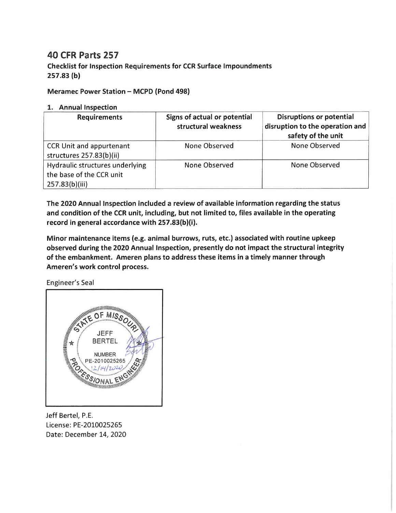## **40 CFR Parts 257**

**Checklist for Inspection Requirements for CCR Surface Impoundments**  $257.83(b)$ 

## Meramec Power Station - MCPD (Pond 498)

## 1. Annual Inspection

| <b>Requirements</b>                                                           | Signs of actual or potential<br>structural weakness | <b>Disruptions or potential</b><br>disruption to the operation and<br>safety of the unit |
|-------------------------------------------------------------------------------|-----------------------------------------------------|------------------------------------------------------------------------------------------|
| CCR Unit and appurtenant<br>structures 257.83(b)(ii)                          | None Observed                                       | None Observed                                                                            |
| Hydraulic structures underlying<br>the base of the CCR unit<br>257.83(b)(iii) | None Observed                                       | None Observed                                                                            |

The 2020 Annual Inspection included a review of available information regarding the status and condition of the CCR unit, including, but not limited to, files available in the operating record in general accordance with 257.83(b)(i).

Minor maintenance items (e.g. animal burrows, ruts, etc.) associated with routine upkeep observed during the 2020 Annual Inspection, presently do not impact the structural integrity of the embankment. Ameren plans to address these items in a timely manner through Ameren's work control process.

Engineer's Seal



Jeff Bertel, P.E. License: PE-2010025265 Date: December 14, 2020